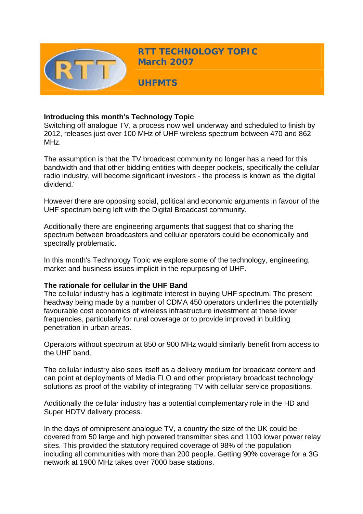

### **Introducing this month's Technology Topic**

Switching off analogue TV, a process now well underway and scheduled to finish by 2012, releases just over 100 MHz of UHF wireless spectrum between 470 and 862 MHz.

The assumption is that the TV broadcast community no longer has a need for this bandwidth and that other bidding entities with deeper pockets, specifically the cellular radio industry, will become significant investors - the process is known as 'the digital dividend.'

However there are opposing social, political and economic arguments in favour of the UHF spectrum being left with the Digital Broadcast community.

Additionally there are engineering arguments that suggest that co sharing the spectrum between broadcasters and cellular operators could be economically and spectrally problematic.

In this month's Technology Topic we explore some of the technology, engineering, market and business issues implicit in the repurposing of UHF.

#### **The rationale for cellular in the UHF Band**

The cellular industry has a legitimate interest in buying UHF spectrum. The present headway being made by a number of CDMA 450 operators underlines the potentially favourable cost economics of wireless infrastructure investment at these lower frequencies, particularly for rural coverage or to provide improved in building penetration in urban areas.

Operators without spectrum at 850 or 900 MHz would similarly benefit from access to the UHF band.

The cellular industry also sees itself as a delivery medium for broadcast content and can point at deployments of Media FLO and other proprietary broadcast technology solutions as proof of the viability of integrating TV with cellular service propositions.

Additionally the cellular industry has a potential complementary role in the HD and Super HDTV delivery process.

In the days of omnipresent analogue TV, a country the size of the UK could be covered from 50 large and high powered transmitter sites and 1100 lower power relay sites. This provided the statutory required coverage of 98% of the population including all communities with more than 200 people. Getting 90% coverage for a 3G network at 1900 MHz takes over 7000 base stations.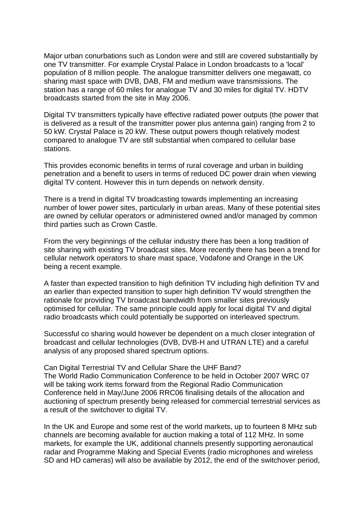Major urban conurbations such as London were and still are covered substantially by one TV transmitter. For example Crystal Palace in London broadcasts to a 'local' population of 8 million people. The analogue transmitter delivers one megawatt, co sharing mast space with DVB, DAB, FM and medium wave transmissions. The station has a range of 60 miles for analogue TV and 30 miles for digital TV. HDTV broadcasts started from the site in May 2006.

Digital TV transmitters typically have effective radiated power outputs (the power that is delivered as a result of the transmitter power plus antenna gain) ranging from 2 to 50 kW. Crystal Palace is 20 kW. These output powers though relatively modest compared to analogue TV are still substantial when compared to cellular base stations.

This provides economic benefits in terms of rural coverage and urban in building penetration and a benefit to users in terms of reduced DC power drain when viewing digital TV content. However this in turn depends on network density.

There is a trend in digital TV broadcasting towards implementing an increasing number of lower power sites, particularly in urban areas. Many of these potential sites are owned by cellular operators or administered owned and/or managed by common third parties such as Crown Castle.

From the very beginnings of the cellular industry there has been a long tradition of site sharing with existing TV broadcast sites. More recently there has been a trend for cellular network operators to share mast space, Vodafone and Orange in the UK being a recent example.

A faster than expected transition to high definition TV including high definition TV and an earlier than expected transition to super high definition TV would strengthen the rationale for providing TV broadcast bandwidth from smaller sites previously optimised for cellular. The same principle could apply for local digital TV and digital radio broadcasts which could potentially be supported on interleaved spectrum.

Successful co sharing would however be dependent on a much closer integration of broadcast and cellular technologies (DVB, DVB-H and UTRAN LTE) and a careful analysis of any proposed shared spectrum options.

Can Digital Terrestrial TV and Cellular Share the UHF Band? The World Radio Communication Conference to be held in October 2007 WRC 07 will be taking work items forward from the Regional Radio Communication Conference held in May/June 2006 RRC06 finalising details of the allocation and auctioning of spectrum presently being released for commercial terrestrial services as a result of the switchover to digital TV.

In the UK and Europe and some rest of the world markets, up to fourteen 8 MHz sub channels are becoming available for auction making a total of 112 MHz. In some markets, for example the UK, additional channels presently supporting aeronautical radar and Programme Making and Special Events (radio microphones and wireless SD and HD cameras) will also be available by 2012, the end of the switchover period,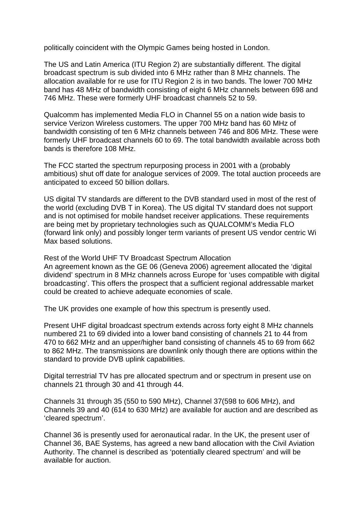politically coincident with the Olympic Games being hosted in London.

The US and Latin America (ITU Region 2) are substantially different. The digital broadcast spectrum is sub divided into 6 MHz rather than 8 MHz channels. The allocation available for re use for ITU Region 2 is in two bands. The lower 700 MHz band has 48 MHz of bandwidth consisting of eight 6 MHz channels between 698 and 746 MHz. These were formerly UHF broadcast channels 52 to 59.

Qualcomm has implemented Media FLO in Channel 55 on a nation wide basis to service Verizon Wireless customers. The upper 700 MHz band has 60 MHz of bandwidth consisting of ten 6 MHz channels between 746 and 806 MHz. These were formerly UHF broadcast channels 60 to 69. The total bandwidth available across both bands is therefore 108 MHz.

The FCC started the spectrum repurposing process in 2001 with a (probably ambitious) shut off date for analogue services of 2009. The total auction proceeds are anticipated to exceed 50 billion dollars.

US digital TV standards are different to the DVB standard used in most of the rest of the world (excluding DVB T in Korea). The US digital TV standard does not support and is not optimised for mobile handset receiver applications. These requirements are being met by proprietary technologies such as QUALCOMM's Media FLO (forward link only) and possibly longer term variants of present US vendor centric Wi Max based solutions.

Rest of the World UHF TV Broadcast Spectrum Allocation An agreement known as the GE 06 (Geneva 2006) agreement allocated the 'digital dividend' spectrum in 8 MHz channels across Europe for 'uses compatible with digital broadcasting'. This offers the prospect that a sufficient regional addressable market could be created to achieve adequate economies of scale.

The UK provides one example of how this spectrum is presently used.

Present UHF digital broadcast spectrum extends across forty eight 8 MHz channels numbered 21 to 69 divided into a lower band consisting of channels 21 to 44 from 470 to 662 MHz and an upper/higher band consisting of channels 45 to 69 from 662 to 862 MHz. The transmissions are downlink only though there are options within the standard to provide DVB uplink capabilities.

Digital terrestrial TV has pre allocated spectrum and or spectrum in present use on channels 21 through 30 and 41 through 44.

Channels 31 through 35 (550 to 590 MHz), Channel 37(598 to 606 MHz), and Channels 39 and 40 (614 to 630 MHz) are available for auction and are described as 'cleared spectrum'.

Channel 36 is presently used for aeronautical radar. In the UK, the present user of Channel 36, BAE Systems, has agreed a new band allocation with the Civil Aviation Authority. The channel is described as 'potentially cleared spectrum' and will be available for auction.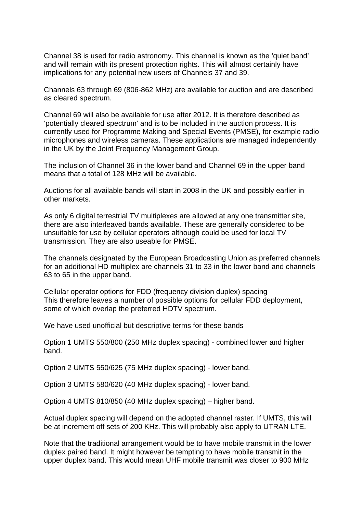Channel 38 is used for radio astronomy. This channel is known as the 'quiet band' and will remain with its present protection rights. This will almost certainly have implications for any potential new users of Channels 37 and 39.

Channels 63 through 69 (806-862 MHz) are available for auction and are described as cleared spectrum.

Channel 69 will also be available for use after 2012. It is therefore described as 'potentially cleared spectrum' and is to be included in the auction process. It is currently used for Programme Making and Special Events (PMSE), for example radio microphones and wireless cameras. These applications are managed independently in the UK by the Joint Frequency Management Group.

The inclusion of Channel 36 in the lower band and Channel 69 in the upper band means that a total of 128 MHz will be available.

Auctions for all available bands will start in 2008 in the UK and possibly earlier in other markets.

As only 6 digital terrestrial TV multiplexes are allowed at any one transmitter site, there are also interleaved bands available. These are generally considered to be unsuitable for use by cellular operators although could be used for local TV transmission. They are also useable for PMSE.

The channels designated by the European Broadcasting Union as preferred channels for an additional HD multiplex are channels 31 to 33 in the lower band and channels 63 to 65 in the upper band.

Cellular operator options for FDD (frequency division duplex) spacing This therefore leaves a number of possible options for cellular FDD deployment, some of which overlap the preferred HDTV spectrum.

We have used unofficial but descriptive terms for these bands

Option 1 UMTS 550/800 (250 MHz duplex spacing) - combined lower and higher band.

Option 2 UMTS 550/625 (75 MHz duplex spacing) - lower band.

Option 3 UMTS 580/620 (40 MHz duplex spacing) - lower band.

Option 4 UMTS 810/850 (40 MHz duplex spacing) – higher band.

Actual duplex spacing will depend on the adopted channel raster. If UMTS, this will be at increment off sets of 200 KHz. This will probably also apply to UTRAN LTE.

Note that the traditional arrangement would be to have mobile transmit in the lower duplex paired band. It might however be tempting to have mobile transmit in the upper duplex band. This would mean UHF mobile transmit was closer to 900 MHz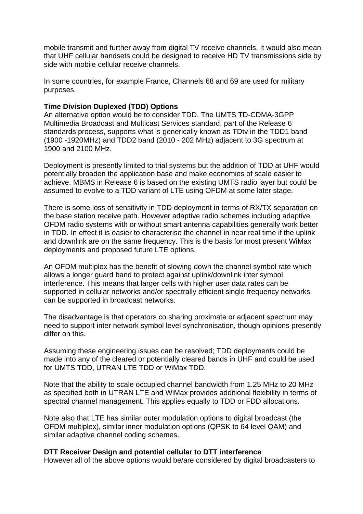mobile transmit and further away from digital TV receive channels. It would also mean that UHF cellular handsets could be designed to receive HD TV transmissions side by side with mobile cellular receive channels.

In some countries, for example France, Channels 68 and 69 are used for military purposes.

# **Time Division Duplexed (TDD) Options**

An alternative option would be to consider TDD. The UMTS TD-CDMA-3GPP Multimedia Broadcast and Multicast Services standard, part of the Release 6 standards process, supports what is generically known as TDtv in the TDD1 band (1900 -1920MHz) and TDD2 band (2010 - 202 MHz) adjacent to 3G spectrum at 1900 and 2100 MHz.

Deployment is presently limited to trial systems but the addition of TDD at UHF would potentially broaden the application base and make economies of scale easier to achieve. MBMS in Release 6 is based on the existing UMTS radio layer but could be assumed to evolve to a TDD variant of LTE using OFDM at some later stage.

There is some loss of sensitivity in TDD deployment in terms of RX/TX separation on the base station receive path. However adaptive radio schemes including adaptive OFDM radio systems with or without smart antenna capabilities generally work better in TDD. In effect it is easier to characterise the channel in near real time if the uplink and downlink are on the same frequency. This is the basis for most present WiMax deployments and proposed future LTE options.

An OFDM multiplex has the benefit of slowing down the channel symbol rate which allows a longer guard band to protect against uplink/downlink inter symbol interference. This means that larger cells with higher user data rates can be supported in cellular networks and/or spectrally efficient single frequency networks can be supported in broadcast networks.

The disadvantage is that operators co sharing proximate or adjacent spectrum may need to support inter network symbol level synchronisation, though opinions presently differ on this.

Assuming these engineering issues can be resolved; TDD deployments could be made into any of the cleared or potentially cleared bands in UHF and could be used for UMTS TDD, UTRAN LTE TDD or WiMax TDD.

Note that the ability to scale occupied channel bandwidth from 1.25 MHz to 20 MHz as specified both in UTRAN LTE and WiMax provides additional flexibility in terms of spectral channel management. This applies equally to TDD or FDD allocations.

Note also that LTE has similar outer modulation options to digital broadcast (the OFDM multiplex), similar inner modulation options (QPSK to 64 level QAM) and similar adaptive channel coding schemes.

#### **DTT Receiver Design and potential cellular to DTT interference**

However all of the above options would be/are considered by digital broadcasters to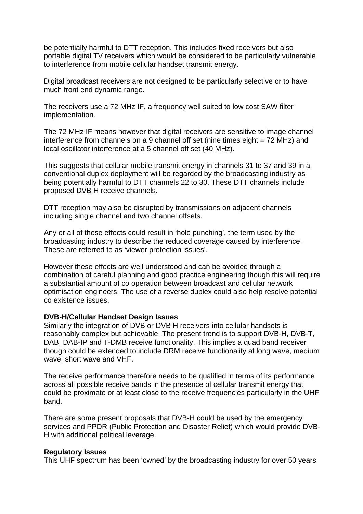be potentially harmful to DTT reception. This includes fixed receivers but also portable digital TV receivers which would be considered to be particularly vulnerable to interference from mobile cellular handset transmit energy.

Digital broadcast receivers are not designed to be particularly selective or to have much front end dynamic range.

The receivers use a 72 MHz IF, a frequency well suited to low cost SAW filter implementation.

The 72 MHz IF means however that digital receivers are sensitive to image channel interference from channels on a 9 channel off set (nine times eight = 72 MHz) and local oscillator interference at a 5 channel off set (40 MHz).

This suggests that cellular mobile transmit energy in channels 31 to 37 and 39 in a conventional duplex deployment will be regarded by the broadcasting industry as being potentially harmful to DTT channels 22 to 30. These DTT channels include proposed DVB H receive channels.

DTT reception may also be disrupted by transmissions on adjacent channels including single channel and two channel offsets.

Any or all of these effects could result in 'hole punching', the term used by the broadcasting industry to describe the reduced coverage caused by interference. These are referred to as 'viewer protection issues'.

However these effects are well understood and can be avoided through a combination of careful planning and good practice engineering though this will require a substantial amount of co operation between broadcast and cellular network optimisation engineers. The use of a reverse duplex could also help resolve potential co existence issues.

# **DVB-H/Cellular Handset Design Issues**

Similarly the integration of DVB or DVB H receivers into cellular handsets is reasonably complex but achievable. The present trend is to support DVB-H, DVB-T, DAB, DAB-IP and T-DMB receive functionality. This implies a quad band receiver though could be extended to include DRM receive functionality at long wave, medium wave, short wave and VHF.

The receive performance therefore needs to be qualified in terms of its performance across all possible receive bands in the presence of cellular transmit energy that could be proximate or at least close to the receive frequencies particularly in the UHF band.

There are some present proposals that DVB-H could be used by the emergency services and PPDR (Public Protection and Disaster Relief) which would provide DVB-H with additional political leverage.

#### **Regulatory Issues**

This UHF spectrum has been 'owned' by the broadcasting industry for over 50 years.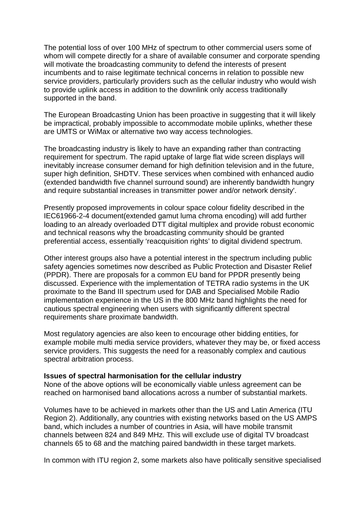The potential loss of over 100 MHz of spectrum to other commercial users some of whom will compete directly for a share of available consumer and corporate spending will motivate the broadcasting community to defend the interests of present incumbents and to raise legitimate technical concerns in relation to possible new service providers, particularly providers such as the cellular industry who would wish to provide uplink access in addition to the downlink only access traditionally supported in the band.

The European Broadcasting Union has been proactive in suggesting that it will likely be impractical, probably impossible to accommodate mobile uplinks, whether these are UMTS or WiMax or alternative two way access technologies.

The broadcasting industry is likely to have an expanding rather than contracting requirement for spectrum. The rapid uptake of large flat wide screen displays will inevitably increase consumer demand for high definition television and in the future, super high definition, SHDTV. These services when combined with enhanced audio (extended bandwidth five channel surround sound) are inherently bandwidth hungry and require substantial increases in transmitter power and/or network density'.

Presently proposed improvements in colour space colour fidelity described in the IEC61966-2-4 document(extended gamut luma chroma encoding) will add further loading to an already overloaded DTT digital multiplex and provide robust economic and technical reasons why the broadcasting community should be granted preferential access, essentially 'reacquisition rights' to digital dividend spectrum.

Other interest groups also have a potential interest in the spectrum including public safety agencies sometimes now described as Public Protection and Disaster Relief (PPDR). There are proposals for a common EU band for PPDR presently being discussed. Experience with the implementation of TETRA radio systems in the UK proximate to the Band III spectrum used for DAB and Specialised Mobile Radio implementation experience in the US in the 800 MHz band highlights the need for cautious spectral engineering when users with significantly different spectral requirements share proximate bandwidth.

Most regulatory agencies are also keen to encourage other bidding entities, for example mobile multi media service providers, whatever they may be, or fixed access service providers. This suggests the need for a reasonably complex and cautious spectral arbitration process.

#### **Issues of spectral harmonisation for the cellular industry**

None of the above options will be economically viable unless agreement can be reached on harmonised band allocations across a number of substantial markets.

Volumes have to be achieved in markets other than the US and Latin America (ITU Region 2). Additionally, any countries with existing networks based on the US AMPS band, which includes a number of countries in Asia, will have mobile transmit channels between 824 and 849 MHz. This will exclude use of digital TV broadcast channels 65 to 68 and the matching paired bandwidth in these target markets.

In common with ITU region 2, some markets also have politically sensitive specialised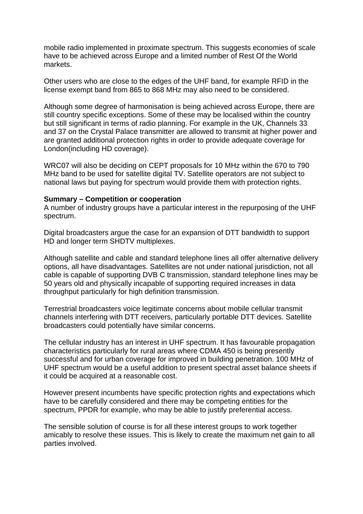mobile radio implemented in proximate spectrum. This suggests economies of scale have to be achieved across Europe and a limited number of Rest Of the World markets.

Other users who are close to the edges of the UHF band, for example RFID in the license exempt band from 865 to 868 MHz may also need to be considered.

Although some degree of harmonisation is being achieved across Europe, there are still country specific exceptions. Some of these may be localised within the country but still significant in terms of radio planning. For example in the UK, Channels 33 and 37 on the Crystal Palace transmitter are allowed to transmit at higher power and are granted additional protection rights in order to provide adequate coverage for London(including HD coverage).

WRC07 will also be deciding on CEPT proposals for 10 MHz within the 670 to 790 MHz band to be used for satellite digital TV. Satellite operators are not subject to national laws but paying for spectrum would provide them with protection rights.

#### **Summary – Competition or cooperation**

A number of industry groups have a particular interest in the repurposing of the UHF spectrum.

Digital broadcasters argue the case for an expansion of DTT bandwidth to support HD and longer term SHDTV multiplexes.

Although satellite and cable and standard telephone lines all offer alternative delivery options, all have disadvantages. Satellites are not under national jurisdiction, not all cable is capable of supporting DVB C transmission, standard telephone lines may be 50 years old and physically incapable of supporting required increases in data throughput particularly for high definition transmission.

Terrestrial broadcasters voice legitimate concerns about mobile cellular transmit channels interfering with DTT receivers, particularly portable DTT devices. Satellite broadcasters could potentially have similar concerns.

The cellular industry has an interest in UHF spectrum. It has favourable propagation characteristics particularly for rural areas where CDMA 450 is being presently successful and for urban coverage for improved in building penetration. 100 MHz of UHF spectrum would be a useful addition to present spectral asset balance sheets if it could be acquired at a reasonable cost.

However present incumbents have specific protection rights and expectations which have to be carefully considered and there may be competing entities for the spectrum, PPDR for example, who may be able to justify preferential access.

The sensible solution of course is for all these interest groups to work together amicably to resolve these issues. This is likely to create the maximum net gain to all parties involved.